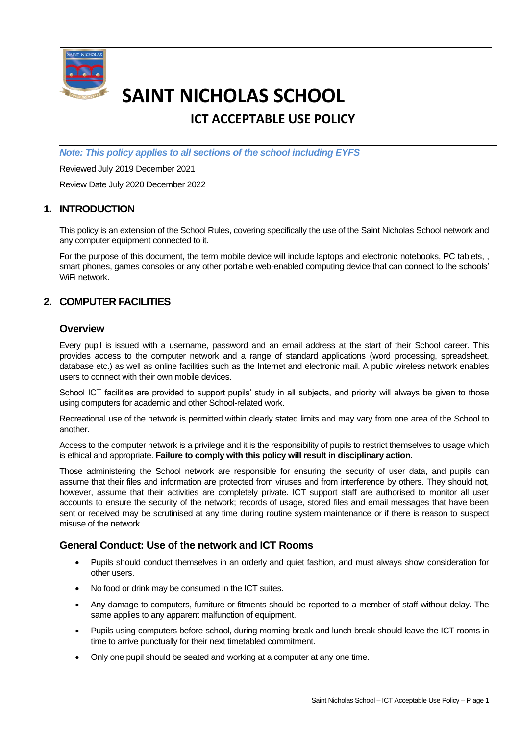

# **SAINT NICHOLAS SCHOOL**

## **ICT ACCEPTABLE USE POLICY**

*Note: This policy applies to all sections of the school including EYFS*

Reviewed July 2019 December 2021

Review Date July 2020 December 2022

### **1. INTRODUCTION**

This policy is an extension of the School Rules, covering specifically the use of the Saint Nicholas School network and any computer equipment connected to it.

For the purpose of this document, the term mobile device will include laptops and electronic notebooks, PC tablets, , smart phones, games consoles or any other portable web-enabled computing device that can connect to the schools' WiFi network.

### **2. COMPUTER FACILITIES**

### **Overview**

Every pupil is issued with a username, password and an email address at the start of their School career. This provides access to the computer network and a range of standard applications (word processing, spreadsheet, database etc.) as well as online facilities such as the Internet and electronic mail. A public wireless network enables users to connect with their own mobile devices.

School ICT facilities are provided to support pupils' study in all subjects, and priority will always be given to those using computers for academic and other School-related work.

Recreational use of the network is permitted within clearly stated limits and may vary from one area of the School to another.

Access to the computer network is a privilege and it is the responsibility of pupils to restrict themselves to usage which is ethical and appropriate. **Failure to comply with this policy will result in disciplinary action.**

Those administering the School network are responsible for ensuring the security of user data, and pupils can assume that their files and information are protected from viruses and from interference by others. They should not, however, assume that their activities are completely private. ICT support staff are authorised to monitor all user accounts to ensure the security of the network; records of usage, stored files and email messages that have been sent or received may be scrutinised at any time during routine system maintenance or if there is reason to suspect misuse of the network.

### **General Conduct: Use of the network and ICT Rooms**

- Pupils should conduct themselves in an orderly and quiet fashion, and must always show consideration for other users.
- No food or drink may be consumed in the ICT suites.
- Any damage to computers, furniture or fitments should be reported to a member of staff without delay. The same applies to any apparent malfunction of equipment.
- Pupils using computers before school, during morning break and lunch break should leave the ICT rooms in time to arrive punctually for their next timetabled commitment.
- Only one pupil should be seated and working at a computer at any one time.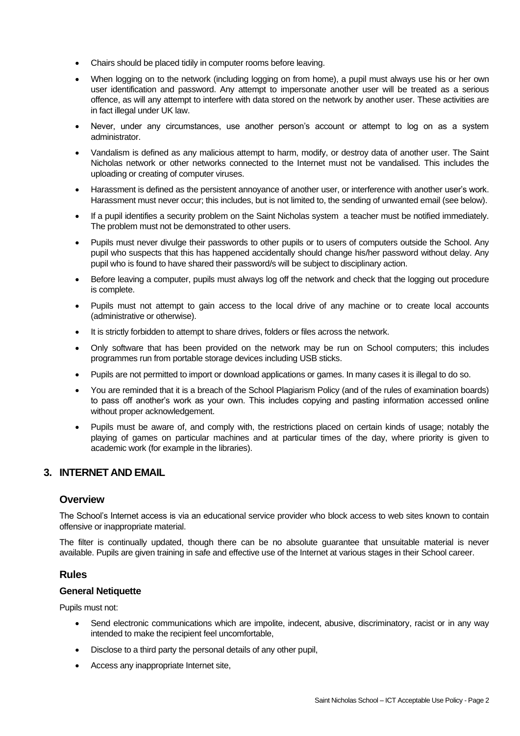- Chairs should be placed tidily in computer rooms before leaving.
- When logging on to the network (including logging on from home), a pupil must always use his or her own user identification and password. Any attempt to impersonate another user will be treated as a serious offence, as will any attempt to interfere with data stored on the network by another user. These activities are in fact illegal under UK law.
- Never, under any circumstances, use another person's account or attempt to log on as a system administrator.
- Vandalism is defined as any malicious attempt to harm, modify, or destroy data of another user. The Saint Nicholas network or other networks connected to the Internet must not be vandalised. This includes the uploading or creating of computer viruses.
- Harassment is defined as the persistent annoyance of another user, or interference with another user's work. Harassment must never occur; this includes, but is not limited to, the sending of unwanted email (see below).
- If a pupil identifies a security problem on the Saint Nicholas system a teacher must be notified immediately. The problem must not be demonstrated to other users.
- Pupils must never divulge their passwords to other pupils or to users of computers outside the School. Any pupil who suspects that this has happened accidentally should change his/her password without delay. Any pupil who is found to have shared their password/s will be subject to disciplinary action.
- Before leaving a computer, pupils must always log off the network and check that the logging out procedure is complete.
- Pupils must not attempt to gain access to the local drive of any machine or to create local accounts (administrative or otherwise).
- It is strictly forbidden to attempt to share drives, folders or files across the network.
- Only software that has been provided on the network may be run on School computers; this includes programmes run from portable storage devices including USB sticks.
- Pupils are not permitted to import or download applications or games. In many cases it is illegal to do so.
- You are reminded that it is a breach of the School Plagiarism Policy (and of the rules of examination boards) to pass off another's work as your own. This includes copying and pasting information accessed online without proper acknowledgement.
- Pupils must be aware of, and comply with, the restrictions placed on certain kinds of usage; notably the playing of games on particular machines and at particular times of the day, where priority is given to academic work (for example in the libraries).

### **3. INTERNET AND EMAIL**

### **Overview**

The School's Internet access is via an educational service provider who block access to web sites known to contain offensive or inappropriate material.

The filter is continually updated, though there can be no absolute guarantee that unsuitable material is never available. Pupils are given training in safe and effective use of the Internet at various stages in their School career.

### **Rules**

### **General Netiquette**

Pupils must not:

- Send electronic communications which are impolite, indecent, abusive, discriminatory, racist or in any way intended to make the recipient feel uncomfortable,
- Disclose to a third party the personal details of any other pupil,
- Access any inappropriate Internet site,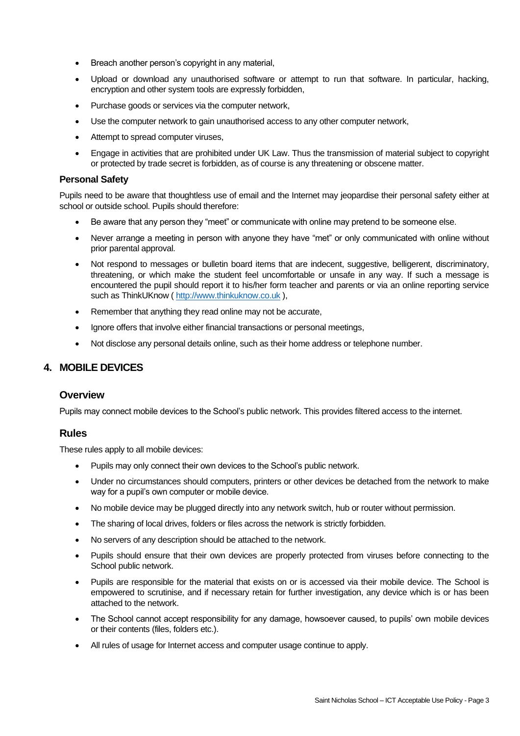- Breach another person's copyright in any material,
- Upload or download any unauthorised software or attempt to run that software. In particular, hacking, encryption and other system tools are expressly forbidden,
- Purchase goods or services via the computer network,
- Use the computer network to gain unauthorised access to any other computer network,
- Attempt to spread computer viruses,
- Engage in activities that are prohibited under UK Law. Thus the transmission of material subject to copyright or protected by trade secret is forbidden, as of course is any threatening or obscene matter.

### **Personal Safety**

Pupils need to be aware that thoughtless use of email and the Internet may jeopardise their personal safety either at school or outside school. Pupils should therefore:

- Be aware that any person they "meet" or communicate with online may pretend to be someone else.
- Never arrange a meeting in person with anyone they have "met" or only communicated with online without prior parental approval.
- Not respond to messages or bulletin board items that are indecent, suggestive, belligerent, discriminatory, threatening, or which make the student feel uncomfortable or unsafe in any way. If such a message is encountered the pupil should report it to his/her form teacher and parents or via an online reporting service such as ThinkUKnow ( [http://www.thinkuknow.co.uk](http://www.thinkuknow.co.uk/) ),
- Remember that anything they read online may not be accurate.
- Ignore offers that involve either financial transactions or personal meetings,
- Not disclose any personal details online, such as their home address or telephone number.

### **4. MOBILE DEVICES**

### **Overview**

Pupils may connect mobile devices to the School's public network. This provides filtered access to the internet.

### **Rules**

These rules apply to all mobile devices:

- Pupils may only connect their own devices to the School's public network.
- Under no circumstances should computers, printers or other devices be detached from the network to make way for a pupil's own computer or mobile device.
- No mobile device may be plugged directly into any network switch, hub or router without permission.
- The sharing of local drives, folders or files across the network is strictly forbidden.
- No servers of any description should be attached to the network.
- Pupils should ensure that their own devices are properly protected from viruses before connecting to the School public network.
- Pupils are responsible for the material that exists on or is accessed via their mobile device. The School is empowered to scrutinise, and if necessary retain for further investigation, any device which is or has been attached to the network.
- The School cannot accept responsibility for any damage, howsoever caused, to pupils' own mobile devices or their contents (files, folders etc.).
- All rules of usage for Internet access and computer usage continue to apply.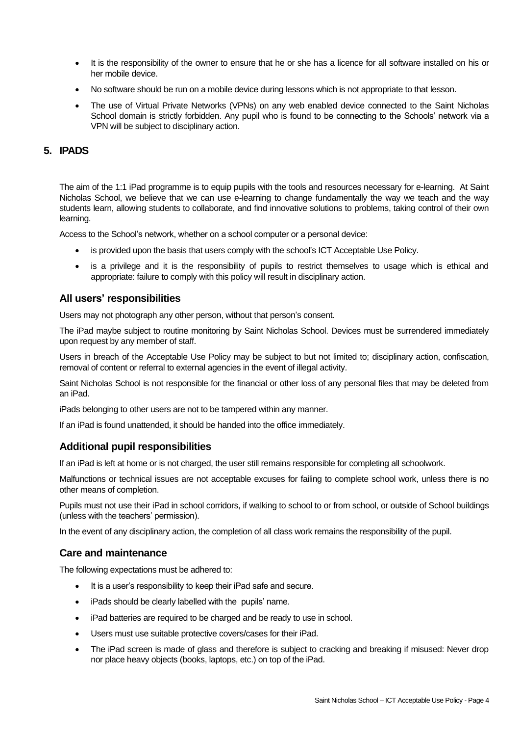- It is the responsibility of the owner to ensure that he or she has a licence for all software installed on his or her mobile device.
- No software should be run on a mobile device during lessons which is not appropriate to that lesson.
- The use of Virtual Private Networks (VPNs) on any web enabled device connected to the Saint Nicholas School domain is strictly forbidden. Any pupil who is found to be connecting to the Schools' network via a VPN will be subject to disciplinary action.

### **5. IPADS**

The aim of the 1:1 iPad programme is to equip pupils with the tools and resources necessary for e-learning. At Saint Nicholas School, we believe that we can use e-learning to change fundamentally the way we teach and the way students learn, allowing students to collaborate, and find innovative solutions to problems, taking control of their own learning.

Access to the School's network, whether on a school computer or a personal device:

- is provided upon the basis that users comply with the school's ICT Acceptable Use Policy.
- is a privilege and it is the responsibility of pupils to restrict themselves to usage which is ethical and appropriate: failure to comply with this policy will result in disciplinary action.

### **All users' responsibilities**

Users may not photograph any other person, without that person's consent.

The iPad maybe subject to routine monitoring by Saint Nicholas School. Devices must be surrendered immediately upon request by any member of staff.

Users in breach of the Acceptable Use Policy may be subject to but not limited to; disciplinary action, confiscation, removal of content or referral to external agencies in the event of illegal activity.

Saint Nicholas School is not responsible for the financial or other loss of any personal files that may be deleted from an iPad.

iPads belonging to other users are not to be tampered within any manner.

If an iPad is found unattended, it should be handed into the office immediately.

### **Additional pupil responsibilities**

If an iPad is left at home or is not charged, the user still remains responsible for completing all schoolwork.

Malfunctions or technical issues are not acceptable excuses for failing to complete school work, unless there is no other means of completion.

Pupils must not use their iPad in school corridors, if walking to school to or from school, or outside of School buildings (unless with the teachers' permission).

In the event of any disciplinary action, the completion of all class work remains the responsibility of the pupil.

### **Care and maintenance**

The following expectations must be adhered to:

- It is a user's responsibility to keep their iPad safe and secure.
- iPads should be clearly labelled with the pupils' name.
- iPad batteries are required to be charged and be ready to use in school.
- Users must use suitable protective covers/cases for their iPad.
- The iPad screen is made of glass and therefore is subject to cracking and breaking if misused: Never drop nor place heavy objects (books, laptops, etc.) on top of the iPad.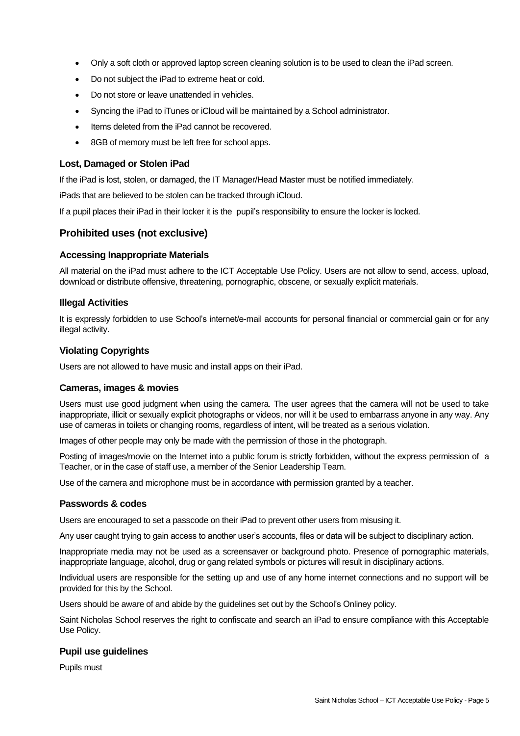- Only a soft cloth or approved laptop screen cleaning solution is to be used to clean the iPad screen.
- Do not subject the iPad to extreme heat or cold.
- Do not store or leave unattended in vehicles.
- Syncing the iPad to iTunes or iCloud will be maintained by a School administrator.
- Items deleted from the iPad cannot be recovered.
- 8GB of memory must be left free for school apps.

### **Lost, Damaged or Stolen iPad**

If the iPad is lost, stolen, or damaged, the IT Manager/Head Master must be notified immediately.

iPads that are believed to be stolen can be tracked through iCloud.

If a pupil places their iPad in their locker it is the pupil's responsibility to ensure the locker is locked.

### **Prohibited uses (not exclusive)**

### **Accessing Inappropriate Materials**

All material on the iPad must adhere to the ICT Acceptable Use Policy. Users are not allow to send, access, upload, download or distribute offensive, threatening, pornographic, obscene, or sexually explicit materials.

### **Illegal Activities**

It is expressly forbidden to use School's internet/e-mail accounts for personal financial or commercial gain or for any illegal activity.

### **Violating Copyrights**

Users are not allowed to have music and install apps on their iPad.

### **Cameras, images & movies**

Users must use good judgment when using the camera. The user agrees that the camera will not be used to take inappropriate, illicit or sexually explicit photographs or videos, nor will it be used to embarrass anyone in any way. Any use of cameras in toilets or changing rooms, regardless of intent, will be treated as a serious violation.

Images of other people may only be made with the permission of those in the photograph.

Posting of images/movie on the Internet into a public forum is strictly forbidden, without the express permission of a Teacher, or in the case of staff use, a member of the Senior Leadership Team.

Use of the camera and microphone must be in accordance with permission granted by a teacher.

### **Passwords & codes**

Users are encouraged to set a passcode on their iPad to prevent other users from misusing it.

Any user caught trying to gain access to another user's accounts, files or data will be subject to disciplinary action.

Inappropriate media may not be used as a screensaver or background photo. Presence of pornographic materials, inappropriate language, alcohol, drug or gang related symbols or pictures will result in disciplinary actions.

Individual users are responsible for the setting up and use of any home internet connections and no support will be provided for this by the School.

Users should be aware of and abide by the guidelines set out by the School's Onliney policy.

Saint Nicholas School reserves the right to confiscate and search an iPad to ensure compliance with this Acceptable Use Policy.

### **Pupil use guidelines**

Pupils must